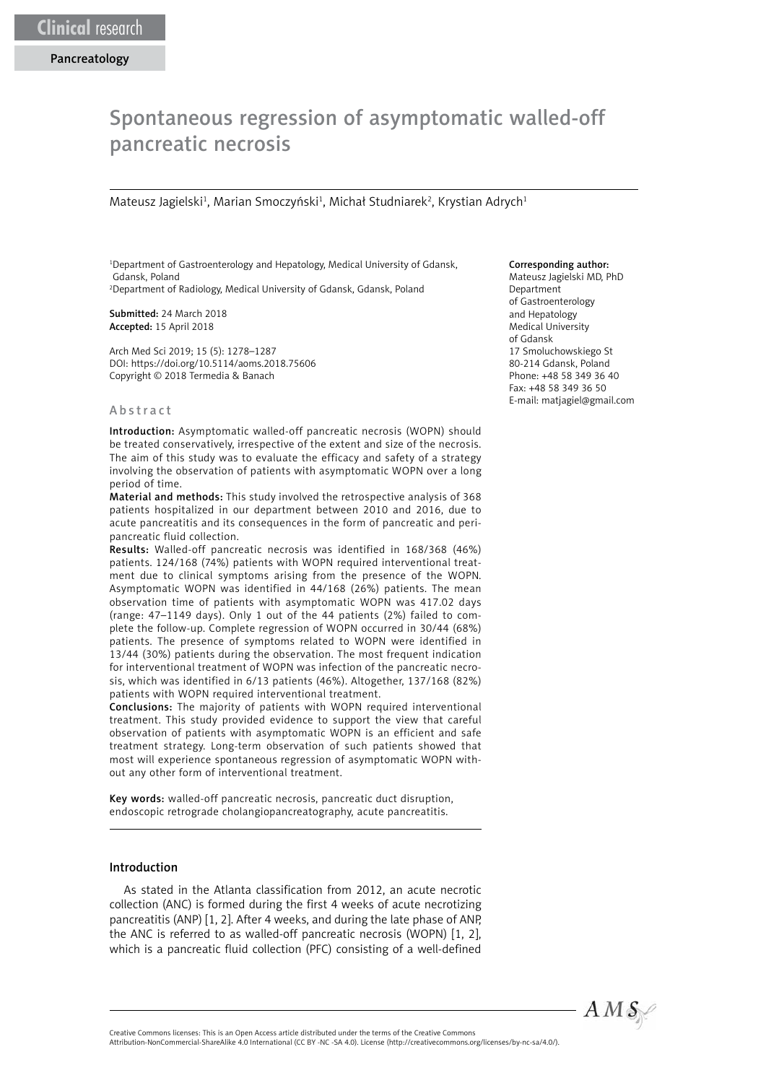# Spontaneous regression of asymptomatic walled-off pancreatic necrosis

Mateusz Jagielski<sup>1</sup>, Marian Smoczyński<sup>1</sup>, Michał Studniarek<sup>2</sup>, Krystian Adrych<sup>1</sup>

1 Department of Gastroenterology and Hepatology, Medical University of Gdansk, Gdansk, Poland 2 Department of Radiology, Medical University of Gdansk, Gdansk, Poland

Submitted: 24 March 2018 Accepted: 15 April 2018

Arch Med Sci 2019; 15 (5): 1278–1287 DOI: https://doi.org/10.5114/aoms.2018.75606 Copyright © 2018 Termedia & Banach

#### Abstract

Introduction: Asymptomatic walled-off pancreatic necrosis (WOPN) should be treated conservatively, irrespective of the extent and size of the necrosis. The aim of this study was to evaluate the efficacy and safety of a strategy involving the observation of patients with asymptomatic WOPN over a long period of time.

Material and methods: This study involved the retrospective analysis of 368 patients hospitalized in our department between 2010 and 2016, due to acute pancreatitis and its consequences in the form of pancreatic and peripancreatic fluid collection.

Results: Walled-off pancreatic necrosis was identified in 168/368 (46%) patients. 124/168 (74%) patients with WOPN required interventional treatment due to clinical symptoms arising from the presence of the WOPN. Asymptomatic WOPN was identified in 44/168 (26%) patients. The mean observation time of patients with asymptomatic WOPN was 417.02 days (range: 47–1149 days). Only 1 out of the 44 patients (2%) failed to complete the follow-up. Complete regression of WOPN occurred in 30/44 (68%) patients. The presence of symptoms related to WOPN were identified in 13/44 (30%) patients during the observation. The most frequent indication for interventional treatment of WOPN was infection of the pancreatic necrosis, which was identified in 6/13 patients (46%). Altogether, 137/168 (82%) patients with WOPN required interventional treatment.

Conclusions: The majority of patients with WOPN required interventional treatment. This study provided evidence to support the view that careful observation of patients with asymptomatic WOPN is an efficient and safe treatment strategy. Long-term observation of such patients showed that most will experience spontaneous regression of asymptomatic WOPN without any other form of interventional treatment.

Key words: walled-off pancreatic necrosis, pancreatic duct disruption, endoscopic retrograde cholangiopancreatography, acute pancreatitis.

## Introduction

As stated in the Atlanta classification from 2012, an acute necrotic collection (ANC) is formed during the first 4 weeks of acute necrotizing pancreatitis (ANP) [1, 2]. After 4 weeks, and during the late phase of ANP, the ANC is referred to as walled-off pancreatic necrosis (WOPN) [1, 2], which is a pancreatic fluid collection (PFC) consisting of a well-defined

## Corresponding author:

Mateusz Jagielski MD, PhD Department of Gastroenterology and Hepatology Medical University of Gdansk 17 Smoluchowskiego St 80-214 Gdansk, Poland Phone: +48 58 349 36 40 Fax: +48 58 349 36 50 E-mail: matjagiel@gmail.com



Attribution-NonCommercial-ShareAlike 4.0 International (CC BY -NC -SA 4.0). License (http://creativecommons.org/licenses/by-nc-sa/4.0/).

Creative Commons licenses: This is an Open Access article distributed under the terms of the Creative Commons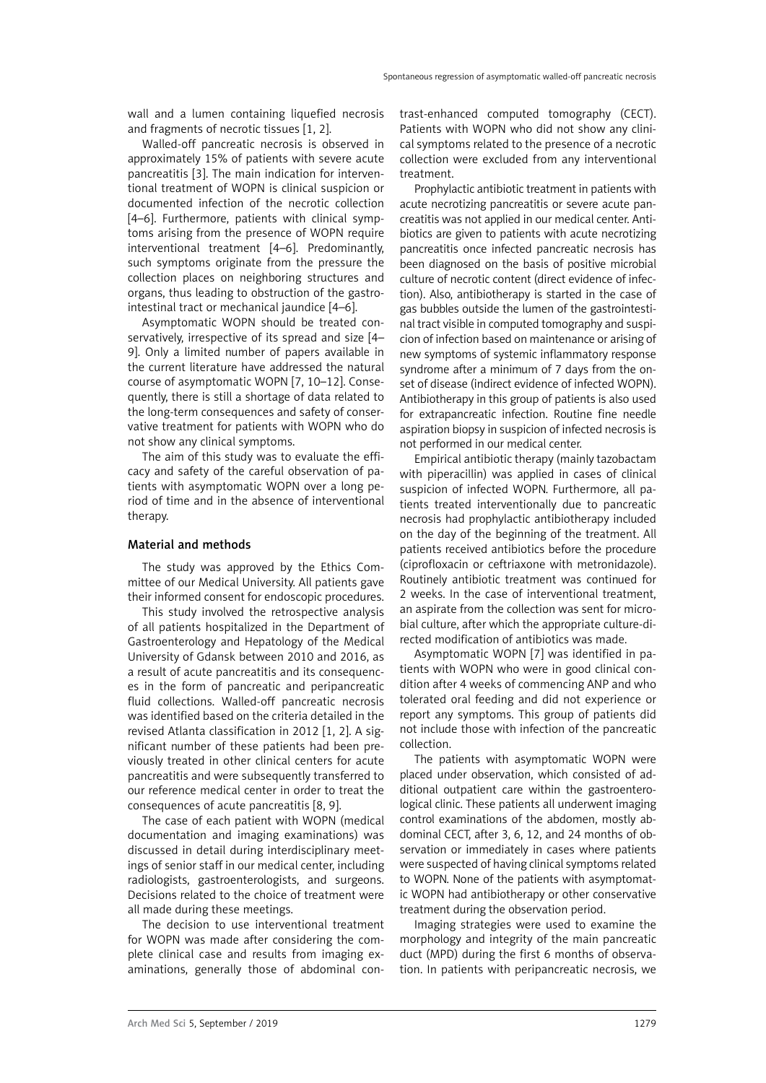wall and a lumen containing liquefied necrosis and fragments of necrotic tissues [1, 2].

Walled-off pancreatic necrosis is observed in approximately 15% of patients with severe acute pancreatitis [3]. The main indication for interventional treatment of WOPN is clinical suspicion or documented infection of the necrotic collection [4–6]. Furthermore, patients with clinical symptoms arising from the presence of WOPN require interventional treatment [4–6]. Predominantly, such symptoms originate from the pressure the collection places on neighboring structures and organs, thus leading to obstruction of the gastrointestinal tract or mechanical jaundice [4–6].

Asymptomatic WOPN should be treated conservatively, irrespective of its spread and size [4– 9]. Only a limited number of papers available in the current literature have addressed the natural course of asymptomatic WOPN [7, 10–12]. Consequently, there is still a shortage of data related to the long-term consequences and safety of conservative treatment for patients with WOPN who do not show any clinical symptoms.

The aim of this study was to evaluate the efficacy and safety of the careful observation of patients with asymptomatic WOPN over a long period of time and in the absence of interventional therapy.

## Material and methods

The study was approved by the Ethics Committee of our Medical University. All patients gave their informed consent for endoscopic procedures.

This study involved the retrospective analysis of all patients hospitalized in the Department of Gastroenterology and Hepatology of the Medical University of Gdansk between 2010 and 2016, as a result of acute pancreatitis and its consequences in the form of pancreatic and peripancreatic fluid collections. Walled-off pancreatic necrosis was identified based on the criteria detailed in the revised Atlanta classification in 2012 [1, 2]. A significant number of these patients had been previously treated in other clinical centers for acute pancreatitis and were subsequently transferred to our reference medical center in order to treat the consequences of acute pancreatitis [8, 9].

The case of each patient with WOPN (medical documentation and imaging examinations) was discussed in detail during interdisciplinary meetings of senior staff in our medical center, including radiologists, gastroenterologists, and surgeons. Decisions related to the choice of treatment were all made during these meetings.

The decision to use interventional treatment for WOPN was made after considering the complete clinical case and results from imaging examinations, generally those of abdominal contrast-enhanced computed tomography (CECT). Patients with WOPN who did not show any clinical symptoms related to the presence of a necrotic collection were excluded from any interventional treatment.

Prophylactic antibiotic treatment in patients with acute necrotizing pancreatitis or severe acute pancreatitis was not applied in our medical center. Antibiotics are given to patients with acute necrotizing pancreatitis once infected pancreatic necrosis has been diagnosed on the basis of positive microbial culture of necrotic content (direct evidence of infection). Also, antibiotherapy is started in the case of gas bubbles outside the lumen of the gastrointestinal tract visible in computed tomography and suspicion of infection based on maintenance or arising of new symptoms of systemic inflammatory response syndrome after a minimum of 7 days from the onset of disease (indirect evidence of infected WOPN). Antibiotherapy in this group of patients is also used for extrapancreatic infection. Routine fine needle aspiration biopsy in suspicion of infected necrosis is not performed in our medical center.

Empirical antibiotic therapy (mainly tazobactam with piperacillin) was applied in cases of clinical suspicion of infected WOPN. Furthermore, all patients treated interventionally due to pancreatic necrosis had prophylactic antibiotherapy included on the day of the beginning of the treatment. All patients received antibiotics before the procedure (ciprofloxacin or ceftriaxone with metronidazole). Routinely antibiotic treatment was continued for 2 weeks. In the case of interventional treatment, an aspirate from the collection was sent for microbial culture, after which the appropriate culture-directed modification of antibiotics was made.

Asymptomatic WOPN [7] was identified in patients with WOPN who were in good clinical condition after 4 weeks of commencing ANP and who tolerated oral feeding and did not experience or report any symptoms. This group of patients did not include those with infection of the pancreatic collection.

The patients with asymptomatic WOPN were placed under observation, which consisted of additional outpatient care within the gastroenterological clinic. These patients all underwent imaging control examinations of the abdomen, mostly abdominal CECT, after 3, 6, 12, and 24 months of observation or immediately in cases where patients were suspected of having clinical symptoms related to WOPN. None of the patients with asymptomatic WOPN had antibiotherapy or other conservative treatment during the observation period.

Imaging strategies were used to examine the morphology and integrity of the main pancreatic duct (MPD) during the first 6 months of observation. In patients with peripancreatic necrosis, we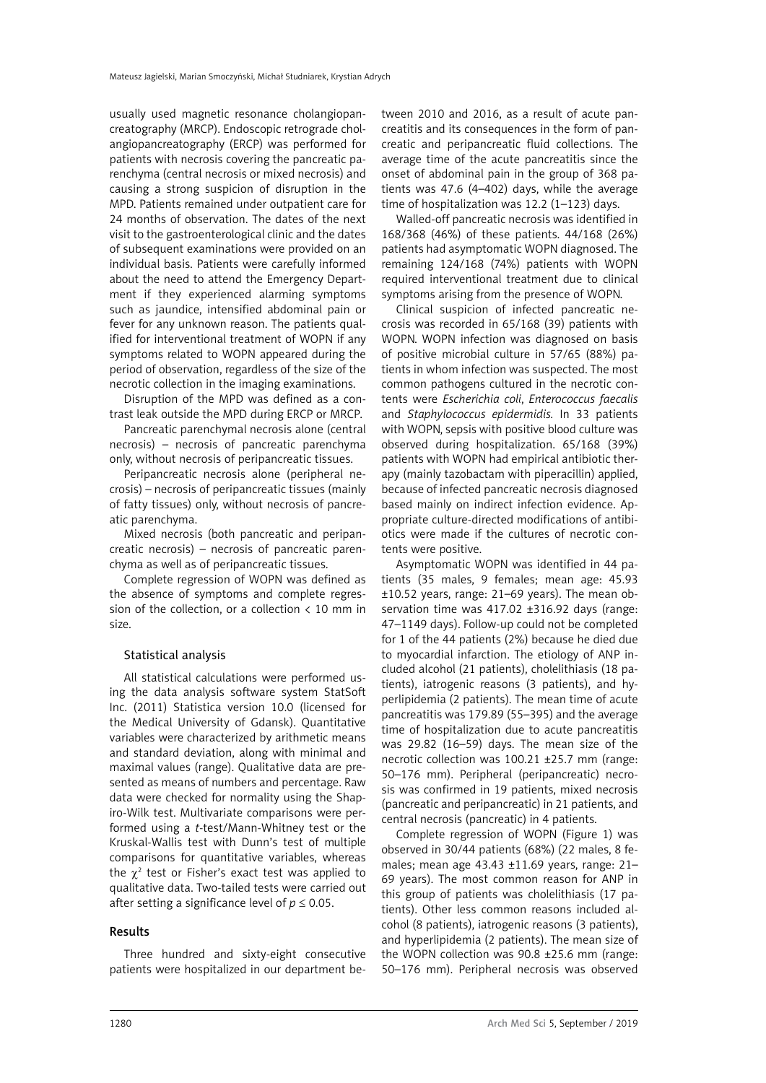usually used magnetic resonance cholangiopancreatography (MRCP). Endoscopic retrograde cholangiopancreatography (ERCP) was performed for patients with necrosis covering the pancreatic parenchyma (central necrosis or mixed necrosis) and causing a strong suspicion of disruption in the MPD. Patients remained under outpatient care for 24 months of observation. The dates of the next visit to the gastroenterological clinic and the dates of subsequent examinations were provided on an individual basis. Patients were carefully informed about the need to attend the Emergency Department if they experienced alarming symptoms such as jaundice, intensified abdominal pain or fever for any unknown reason. The patients qualified for interventional treatment of WOPN if any symptoms related to WOPN appeared during the period of observation, regardless of the size of the necrotic collection in the imaging examinations.

Disruption of the MPD was defined as a contrast leak outside the MPD during ERCP or MRCP.

Pancreatic parenchymal necrosis alone (central necrosis) – necrosis of pancreatic parenchyma only, without necrosis of peripancreatic tissues.

Peripancreatic necrosis alone (peripheral necrosis) – necrosis of peripancreatic tissues (mainly of fatty tissues) only, without necrosis of pancreatic parenchyma.

Mixed necrosis (both pancreatic and peripancreatic necrosis) – necrosis of pancreatic parenchyma as well as of peripancreatic tissues.

Complete regression of WOPN was defined as the absence of symptoms and complete regression of the collection, or a collection  $\langle 10 \text{ mm in} \rangle$ size.

## Statistical analysis

All statistical calculations were performed using the data analysis software system StatSoft Inc. (2011) Statistica version 10.0 (licensed for the Medical University of Gdansk). Quantitative variables were characterized by arithmetic means and standard deviation, along with minimal and maximal values (range). Qualitative data are presented as means of numbers and percentage. Raw data were checked for normality using the Shapiro-Wilk test. Multivariate comparisons were performed using a *t*-test/Mann-Whitney test or the Kruskal-Wallis test with Dunn's test of multiple comparisons for quantitative variables, whereas the  $\chi^2$  test or Fisher's exact test was applied to qualitative data. Two-tailed tests were carried out after setting a significance level of  $p \leq 0.05$ .

## Results

Three hundred and sixty-eight consecutive patients were hospitalized in our department between 2010 and 2016, as a result of acute pancreatitis and its consequences in the form of pancreatic and peripancreatic fluid collections. The average time of the acute pancreatitis since the onset of abdominal pain in the group of 368 patients was 47.6 (4–402) days, while the average time of hospitalization was 12.2 (1–123) days.

Walled-off pancreatic necrosis was identified in 168/368 (46%) of these patients. 44/168 (26%) patients had asymptomatic WOPN diagnosed. The remaining 124/168 (74%) patients with WOPN required interventional treatment due to clinical symptoms arising from the presence of WOPN.

Clinical suspicion of infected pancreatic necrosis was recorded in 65/168 (39) patients with WOPN. WOPN infection was diagnosed on basis of positive microbial culture in 57/65 (88%) patients in whom infection was suspected. The most common pathogens cultured in the necrotic contents were *Escherichia coli*, *Enterococcus faecalis* and *Staphylococcus epidermidis.* In 33 patients with WOPN, sepsis with positive blood culture was observed during hospitalization. 65/168 (39%) patients with WOPN had empirical antibiotic therapy (mainly tazobactam with piperacillin) applied, because of infected pancreatic necrosis diagnosed based mainly on indirect infection evidence. Appropriate culture-directed modifications of antibiotics were made if the cultures of necrotic contents were positive.

Asymptomatic WOPN was identified in 44 patients (35 males, 9 females; mean age: 45.93 ±10.52 years, range: 21–69 years). The mean observation time was 417.02 ±316.92 days (range: 47–1149 days). Follow-up could not be completed for 1 of the 44 patients (2%) because he died due to myocardial infarction. The etiology of ANP included alcohol (21 patients), cholelithiasis (18 patients), iatrogenic reasons (3 patients), and hyperlipidemia (2 patients). The mean time of acute pancreatitis was 179.89 (55–395) and the average time of hospitalization due to acute pancreatitis was 29.82 (16–59) days. The mean size of the necrotic collection was 100.21 ±25.7 mm (range: 50–176 mm). Peripheral (peripancreatic) necrosis was confirmed in 19 patients, mixed necrosis (pancreatic and peripancreatic) in 21 patients, and central necrosis (pancreatic) in 4 patients.

Complete regression of WOPN (Figure 1) was observed in 30/44 patients (68%) (22 males, 8 females; mean age 43.43 ±11.69 years, range: 21– 69 years). The most common reason for ANP in this group of patients was cholelithiasis (17 patients). Other less common reasons included alcohol (8 patients), iatrogenic reasons (3 patients), and hyperlipidemia (2 patients). The mean size of the WOPN collection was 90.8 ±25.6 mm (range: 50–176 mm). Peripheral necrosis was observed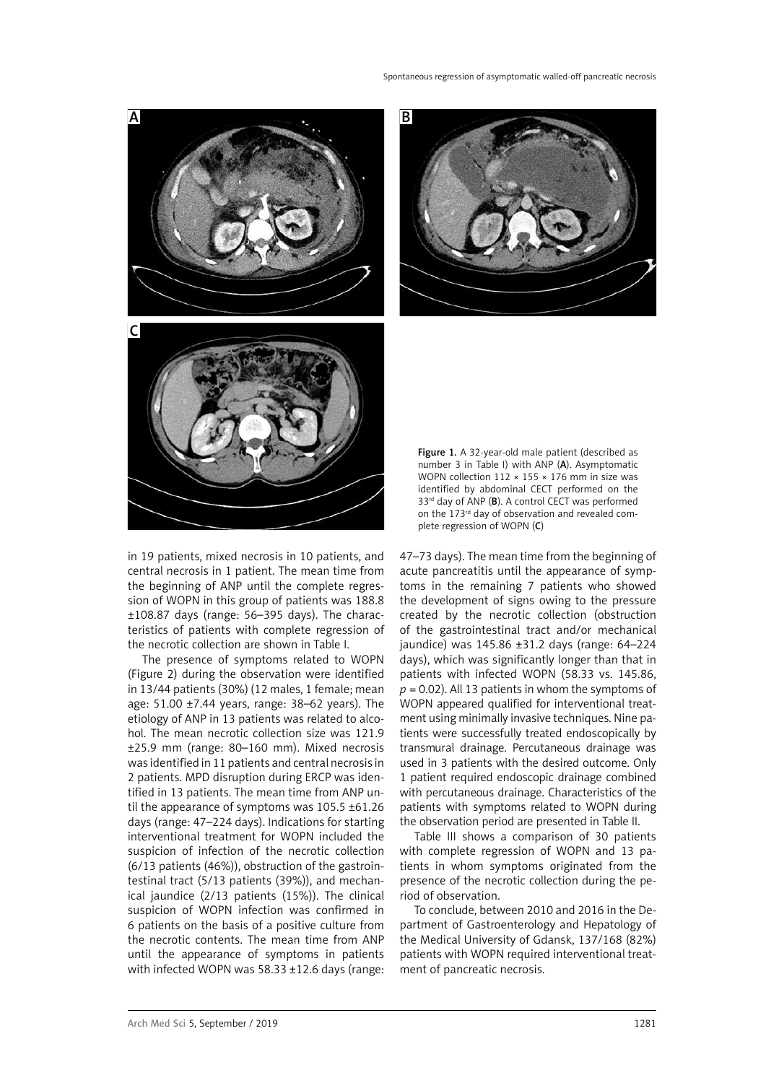

in 19 patients, mixed necrosis in 10 patients, and central necrosis in 1 patient. The mean time from the beginning of ANP until the complete regression of WOPN in this group of patients was 188.8 ±108.87 days (range: 56–395 days). The characteristics of patients with complete regression of the necrotic collection are shown in Table I.

The presence of symptoms related to WOPN (Figure 2) during the observation were identified in 13/44 patients (30%) (12 males, 1 female; mean age: 51.00 ±7.44 years, range: 38–62 years). The etiology of ANP in 13 patients was related to alcohol. The mean necrotic collection size was 121.9 ±25.9 mm (range: 80–160 mm). Mixed necrosis was identified in 11 patients and central necrosis in 2 patients. MPD disruption during ERCP was identified in 13 patients. The mean time from ANP until the appearance of symptoms was 105.5 ±61.26 days (range: 47–224 days). Indications for starting interventional treatment for WOPN included the suspicion of infection of the necrotic collection (6/13 patients (46%)), obstruction of the gastrointestinal tract (5/13 patients (39%)), and mechanical jaundice (2/13 patients (15%)). The clinical suspicion of WOPN infection was confirmed in 6 patients on the basis of a positive culture from the necrotic contents. The mean time from ANP until the appearance of symptoms in patients with infected WOPN was 58.33 ±12.6 days (range:



Figure 1. A 32-year-old male patient (described as number 3 in Table I) with ANP (A). Asymptomatic WOPN collection  $112 \times 155 \times 176$  mm in size was identified by abdominal CECT performed on the 33<sup>rd</sup> day of ANP (B). A control CECT was performed on the 173<sup>rd</sup> day of observation and revealed complete regression of WOPN (C)

47–73 days). The mean time from the beginning of acute pancreatitis until the appearance of symptoms in the remaining 7 patients who showed the development of signs owing to the pressure created by the necrotic collection (obstruction of the gastrointestinal tract and/or mechanical jaundice) was 145.86 ±31.2 days (range: 64–224 days), which was significantly longer than that in patients with infected WOPN (58.33 vs. 145.86,  $p = 0.02$ ). All 13 patients in whom the symptoms of WOPN appeared qualified for interventional treatment using minimally invasive techniques. Nine patients were successfully treated endoscopically by transmural drainage. Percutaneous drainage was used in 3 patients with the desired outcome. Only 1 patient required endoscopic drainage combined with percutaneous drainage. Characteristics of the patients with symptoms related to WOPN during the observation period are presented in Table II.

Table III shows a comparison of 30 patients with complete regression of WOPN and 13 patients in whom symptoms originated from the presence of the necrotic collection during the period of observation.

To conclude, between 2010 and 2016 in the Department of Gastroenterology and Hepatology of the Medical University of Gdansk, 137/168 (82%) patients with WOPN required interventional treatment of pancreatic necrosis.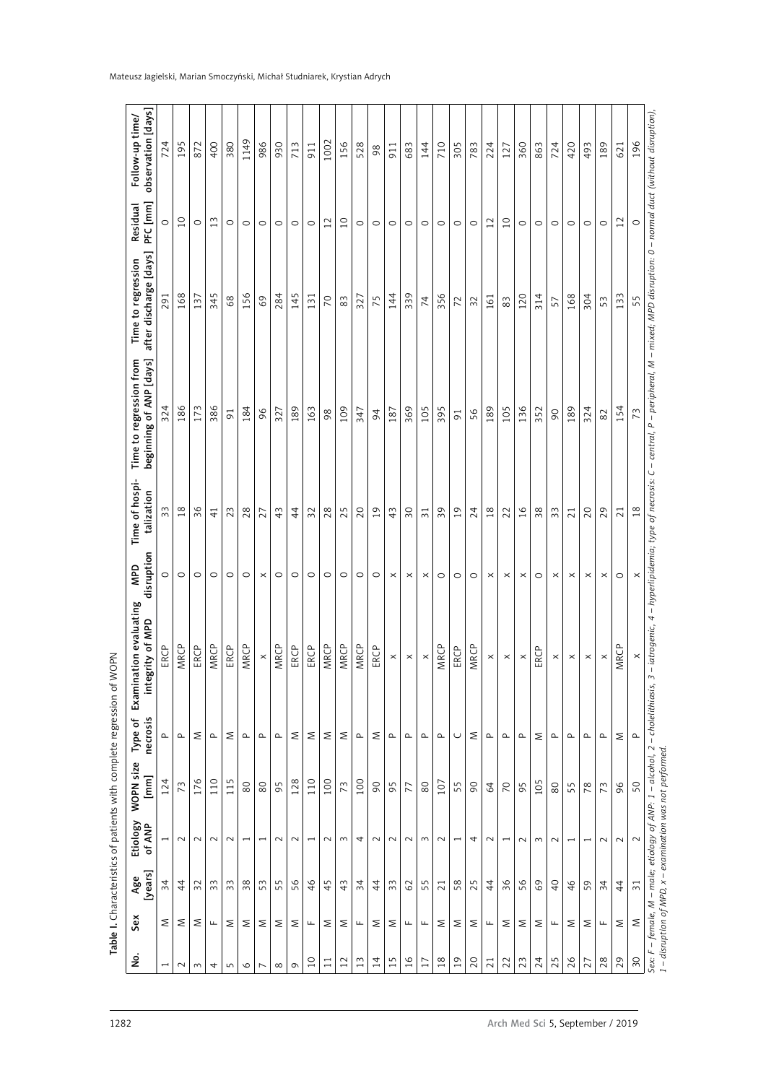| ş                        | Sex                             | [years]<br>Age  | Etiology<br>of ANP       | WOPN size<br>$\begin{bmatrix} m \\ m \end{bmatrix}$ | necrosis<br>Type of                   | ation evaluating<br>grity of MPD<br>Examin<br>e<br>E. | disruption<br><b>GdW</b> | Time of hospi-<br>talization | Time to regression from<br>beginning of ANP [days] | after discharge [days]<br>Time to regression | PFC [mm]<br>Residual | observation [days]<br>Follow-up time/ |
|--------------------------|---------------------------------|-----------------|--------------------------|-----------------------------------------------------|---------------------------------------|-------------------------------------------------------|--------------------------|------------------------------|----------------------------------------------------|----------------------------------------------|----------------------|---------------------------------------|
| $\overline{\phantom{0}}$ | ٤                               | 34              | $\overline{ }$           | 124                                                 | $\mathbf{\underline{\upalpha}}$       | ERCP                                                  | $\circ$                  | 33                           | 324                                                | 291                                          | $\circ$              | 724                                   |
| $\sim$                   | ٤                               | $\overline{4}$  | $\sim$                   | 73                                                  | $\mathrel{\mathtt{a}}$                | MRCP                                                  | $\circ$                  | $18$                         | 186                                                | 168                                          | $\overline{10}$      | 195                                   |
| $\sim$                   | ٤                               | $\overline{3}$  | $\sim$                   | 176                                                 | ٤                                     | ERCP                                                  | $\circ$                  | 36                           | 173                                                | 137                                          | $\circ$              | 872                                   |
| 4                        | Щ                               | S<br>$\sim$     | $\sim$                   | 110                                                 | $\mathbf{\underline{\upalpha}}$       | MRCP                                                  | $\circ$                  | $\overline{4}$               | 386                                                | 345                                          | 13                   | 400                                   |
| $\overline{5}$           | ٤                               | $\frac{3}{3}$   | $\sim$                   | S<br>$\overline{11}$                                | Σ                                     | ERCP                                                  | $\circ$                  | 23                           | $\overline{91}$                                    | $68$                                         | $\circ$              | 380                                   |
| $\circ$                  | Σ                               | $38$            | $\overline{\phantom{0}}$ | $80$                                                | $\mathbf{r}$                          | MRCP                                                  | $\circ$                  | 28                           | 184                                                | 156                                          | $\circ$              | 1149                                  |
| $\overline{ }$           | ٤                               | 53              | $\overline{\phantom{0}}$ | 80                                                  | $\mathbf{\Omega}$                     | $\pmb{\times}$                                        | $\times$                 | 27                           | 96                                                 | 69                                           | $\circ$              | 986                                   |
| $\infty$                 | ٤                               | 55              | $\sim$                   | 95                                                  | $\mathrel{\mathsf{a}}$                | MRCP                                                  | $\circ$                  | 43                           | 327                                                | 284                                          | $\circ$              | 930                                   |
| $\sigma$                 | ٤                               | 56              | $\sim$                   | 128                                                 | ٤                                     | ERCP                                                  | $\circ$                  | $\frac{4}{4}$                | 189                                                | 145                                          | $\circ$              | 713                                   |
| $\overline{a}$           | $\mathsf{L}\mathsf{L}$          | $\frac{4}{6}$   | $\overline{\phantom{0}}$ | 110                                                 | ٤                                     | ERCP                                                  | $\circ$                  | 32                           | 163                                                | 131                                          | $\circ$              | 911                                   |
| $\Xi$                    | ٤                               | 45              | $\sim$                   | 100                                                 | Σ                                     | <b>MRCP</b>                                           | $\circ$                  | 28                           | 98                                                 | $\overline{C}$                               | $12$                 | 1002                                  |
| 12                       | ٤                               | 43              | $\sim$                   | 73                                                  | ٤                                     | <b>MRCP</b>                                           | $\circ$                  | 25                           | 109                                                | 83                                           | $\overline{10}$      | 156                                   |
| $\frac{2}{3}$            | щ                               | $\overline{3}4$ | 4                        | 100                                                 | $\mathbf{\underline{\upalpha}}$       | MRCP                                                  | $\circ$                  | 20                           | 347                                                | 327                                          | $\circ$              | 528                                   |
| $\overline{4}$           | ٤                               | 44              | $\sim$                   | $\infty$                                            | ٤                                     | ERCP                                                  | $\circ$                  | 19                           | $\overline{6}$                                     | 75                                           | $\circ$              | 98                                    |
| 15                       | ٤                               | 33              | $\sim$                   | 95                                                  | $\mathbf{\underline{\upalpha}}$       | $\boldsymbol{\times}$                                 | $\times$                 | 43                           | 187                                                | 144                                          | $\circ$              | 911                                   |
| $\frac{91}{2}$           | щ                               | 62              | $\sim$                   | 77                                                  | $\mathbf{r}$                          | $\times$                                              | $\times$                 | $\overline{50}$              | 369                                                | 339                                          | $\circ$              | 683                                   |
| 17                       | $\sqcup$                        | 55              | $\sim$                   | 80                                                  | $\mathbf{\underline{\upalpha}}$       | $\times$                                              | $\times$                 | $\overline{31}$              | 105                                                | $\overline{\mathcal{A}}$                     | $\circ$              | 144                                   |
| $18$                     | ٤                               | $\overline{21}$ | $\sim$                   | 107                                                 | $\mathrel{\mathsf{a}}$                | MRCP                                                  | $\circ$                  | 39                           | 395                                                | 356                                          | $\circ$              | 710                                   |
| $\overline{19}$          | ٤                               | 58              | $\overline{\phantom{0}}$ | 55                                                  | $\cup$                                | ERCP                                                  | $\circ$                  | $\overline{0}$               | $\overline{9}$                                     | 72                                           | $\circ$              | 305                                   |
| 20                       | ٤                               | 25              | 4                        | 90                                                  | ٤                                     | MRCP                                                  | $\circ$                  | 24                           | 56                                                 | 32                                           | $\circ$              | 783                                   |
| $\overline{21}$          | $\mathrel{\sqcup\!\!\!\!\perp}$ | $\overline{4}$  | $\sim$                   | $\mathcal{Q}$                                       | $\sim$                                | $\times$                                              | $\times$                 | 18                           | 189                                                | 161                                          | 12                   | 224                                   |
| 22                       | Σ                               | 36              | $\overline{ }$           | $\overline{C}$                                      | $\mathbf{r}$                          | $\times$                                              | $\times$                 | 22                           | 105                                                | 83                                           | $\overline{C}$       | 127                                   |
| 23                       | Σ                               | 56              | $\sim$                   | 95                                                  | $\mathbf{\underline{\upalpha}}$       | $\times$                                              | $\times$                 | $\frac{91}{2}$               | 136                                                | 120                                          | $\circ$              | 360                                   |
| 24                       | ٤                               | 69              | $\mathsf{S}$             | 105                                                 | Σ                                     | ERCP                                                  | $\circ$                  | 38                           | 352                                                | 314                                          | $\circ$              | 863                                   |
| 25                       | щ                               | $\overline{4}$  | $\sim$                   | $80$                                                | $\mathbf{r}$                          | $\times$                                              | $\times$                 | 33                           | $\overline{6}$                                     | 57                                           | $\circ$              | 724                                   |
| 26                       | ٤                               | 46              | $\overline{\phantom{0}}$ | 5<br>$\overline{5}$                                 | $\mathrel{\mathsf{a}}$                | $\times$                                              | $\times$                 | $\overline{21}$              | 189                                                | 168                                          | $\circ$              | 420                                   |
| 27                       | ٤                               | 59              | $\overline{ }$           | $^{\circ}$                                          | $\mathbf{\underline{\small \alpha }}$ | $\times$                                              | $\times$                 | 20                           | 324                                                | 304                                          | $\circ$              | 493                                   |
| 28                       | $\sqcup$                        | $\overline{34}$ | $\sim$                   | 73                                                  | $\mathrel{\mathsf{a}}$                | $\boldsymbol{\times}$                                 | $\times$                 | 29                           | $82$                                               | 53                                           | $\circ$              | 189                                   |
| 29                       | Σ                               | $\overline{4}$  | $\sim$                   | 96                                                  | Σ                                     | MRCP                                                  | $\circ$                  | 21                           | 154                                                | 133                                          | 12                   | 621                                   |
| $\overline{50}$          | $\leq$                          | $\overline{31}$ | $\sim$                   | SO                                                  | $\mathbf{\underline{\upalpha}}$       | $\times$                                              | $\times$                 | $18$                         | 73                                                 | 55                                           | $\circ$              | 196                                   |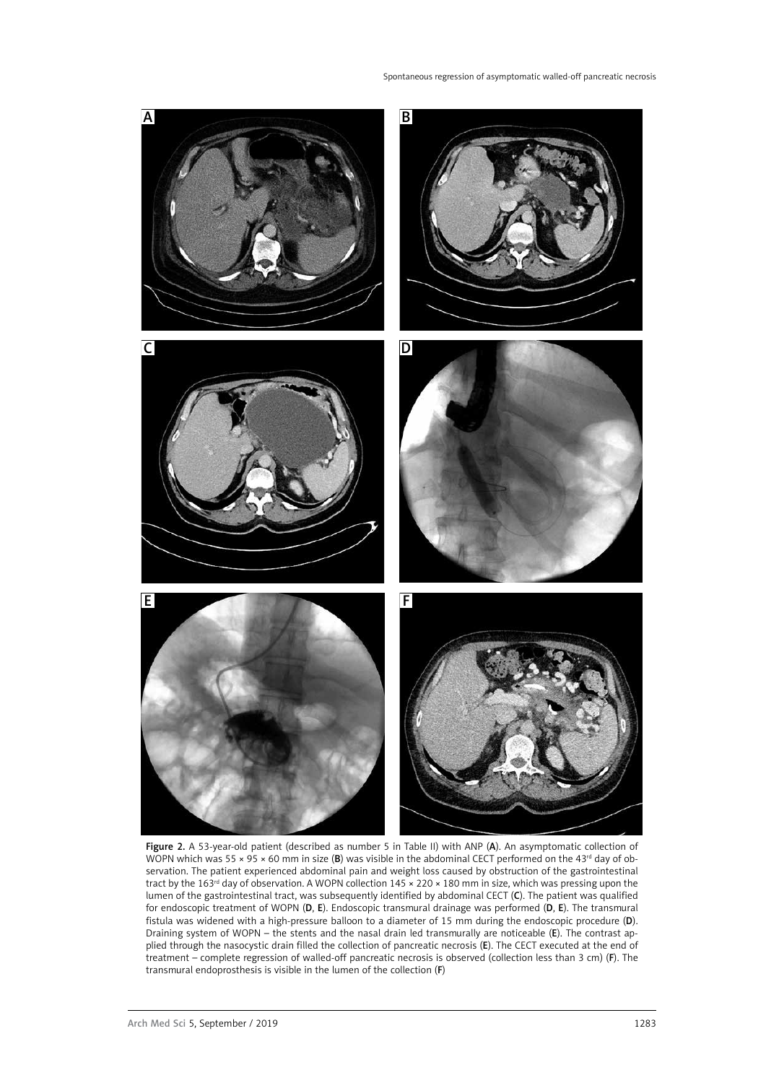

Figure 2. A 53-year-old patient (described as number 5 in Table II) with ANP (A). An asymptomatic collection of WOPN which was 55  $\times$  95  $\times$  60 mm in size (B) was visible in the abdominal CECT performed on the 43<sup>rd</sup> day of observation. The patient experienced abdominal pain and weight loss caused by obstruction of the gastrointestinal tract by the 163rd day of observation. A WOPN collection 145 × 220 × 180 mm in size, which was pressing upon the lumen of the gastrointestinal tract, was subsequently identified by abdominal CECT (C). The patient was qualified for endoscopic treatment of WOPN (D, E). Endoscopic transmural drainage was performed (D, E). The transmural fistula was widened with a high-pressure balloon to a diameter of 15 mm during the endoscopic procedure (D). Draining system of WOPN – the stents and the nasal drain led transmurally are noticeable (E). The contrast applied through the nasocystic drain filled the collection of pancreatic necrosis (E). The CECT executed at the end of treatment – complete regression of walled-off pancreatic necrosis is observed (collection less than 3 cm) (F). The transmural endoprosthesis is visible in the lumen of the collection (F)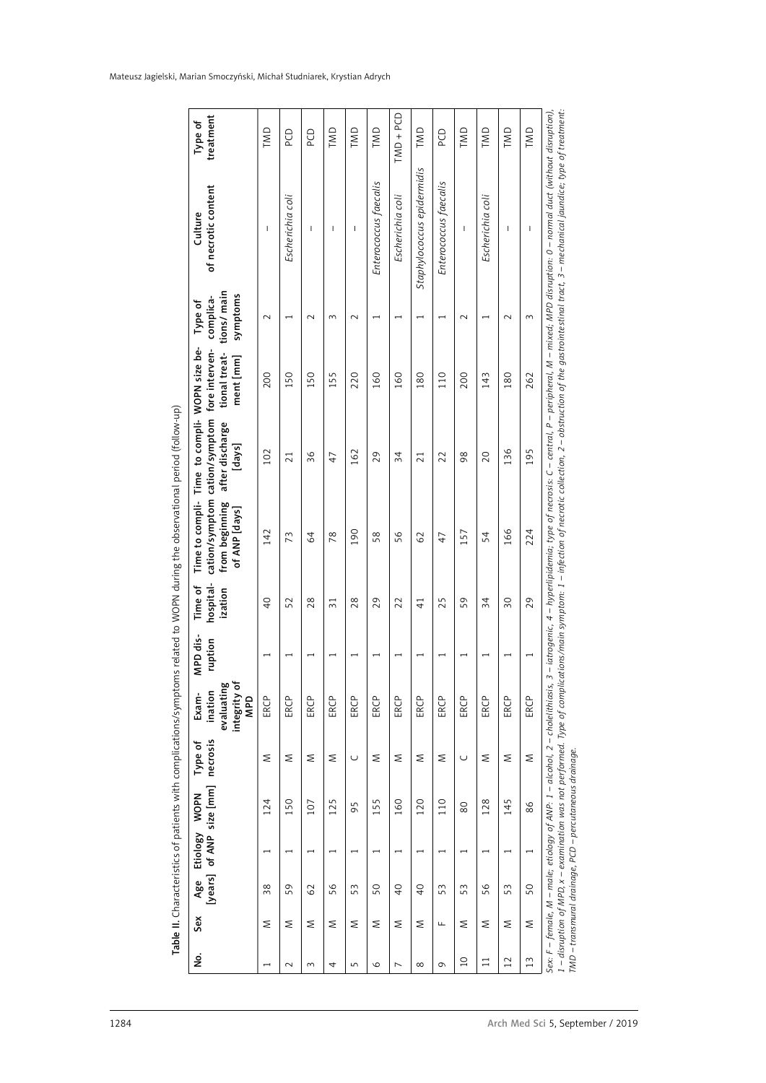| of necrotic content<br>Culture<br>tions/ main<br>symptoms<br>complica-<br>Type of | $\mathbf{I}$<br>$\sim$   | Escherichia coli<br>Ţ | $\mathbf{I}$<br>$\sim$ | $\mathsf{I}$<br>3        | $\mathbf{I}$<br>$\sim$   | Enterococcus faecalis<br>$\overline{\phantom{0}}$ | Escherichia coli<br>$\overline{\phantom{0}}$ | Staphylococcus epidermidis<br>$\overline{ }$ | Enterococcus faecalis<br>$\overline{\phantom{0}}$ | I<br>$\sim$              | Escherichia coli<br>$\overline{\phantom{0}}$ | $\mathsf{I}$<br>$\sim$   | $\mathbf{I}$<br>$\sim$ |
|-----------------------------------------------------------------------------------|--------------------------|-----------------------|------------------------|--------------------------|--------------------------|---------------------------------------------------|----------------------------------------------|----------------------------------------------|---------------------------------------------------|--------------------------|----------------------------------------------|--------------------------|------------------------|
| WOPN size be-<br>fore interven-<br>tional treat-<br>ment [mm]                     | 200                      | 150                   | 150                    | 155                      | 220                      | 160                                               | 160                                          | 180                                          | 110                                               | 200                      | 143                                          | 180                      | 262                    |
| Time to compli-<br>cation/symptom<br>after discharge<br>[days]                    | 102                      | 21                    | 36                     | 47                       | 162                      | 29                                                | 34                                           | 21                                           | 22                                                | $\frac{8}{2}$            | 20                                           | 136                      | 195                    |
| cation/symptom<br>Time to compli-<br>from beginning<br>of ANP [days]              | 142                      | 73                    | 64                     | 78                       | 190                      | 58                                                | 56                                           | 62                                           | $\ddot{+}$                                        | 157                      | 54                                           | 166                      | 224                    |
| hospital-<br>Time of<br>ization                                                   | $\overline{Q}$           | 52                    | 28                     | $\overline{31}$          | 28                       | 29                                                | 22                                           | $\frac{1}{4}$                                | 25                                                | 59                       | 34                                           | $\overline{30}$          | 29                     |
| MPD dis-<br>ruption                                                               | $\overline{\phantom{0}}$ | I                     | $\overline{ }$         | $\overline{\phantom{0}}$ | $\overline{\phantom{0}}$ | $\overline{\phantom{0}}$                          | $\overline{\phantom{0}}$                     | $\overline{\phantom{0}}$                     | $\overline{\phantom{0}}$                          | $\overline{\phantom{0}}$ | $\overline{\phantom{0}}$                     | $\overline{ }$           |                        |
| evaluating<br>integrity of<br>ination<br>Exam-<br><b>GdW</b>                      | ERCP                     | ERCP                  | ERCP                   | ERCP                     | ERCP                     | ERCP                                              | ERCP                                         | ERCP                                         | ERCP                                              | ERCP                     | ERCP                                         | ERCP                     | ERCP                   |
| necrosis<br>Type of                                                               | ≲                        | Σ                     | Σ                      | Σ                        | $\cup$                   | ≳                                                 | $\leq$                                       | Σ                                            | Σ                                                 | $\cup$                   | Σ                                            | Σ                        | Σ                      |
| Age Etiology WOPN<br>[years] of ANP size [mm]                                     | 124                      | 150                   | 107                    | 125                      | 95                       | 155                                               | 160                                          | 120                                          | 110                                               | 80                       | 128                                          | 145                      | 86                     |
| Etiology WOPN                                                                     | $\overline{\phantom{0}}$ | $\overline{ }$        | $\overline{ }$         | $\overline{ }$           | $\overline{ }$           | $\overline{\phantom{a}}$                          | $\overline{\phantom{0}}$                     | $\overline{ }$                               | $\overline{\phantom{0}}$                          | $\overline{\phantom{0}}$ | $\overline{\phantom{0}}$                     | $\overline{\phantom{0}}$ | $\overline{ }$         |
|                                                                                   | 38                       | 59                    | 62                     | 56                       | 53                       | 50                                                | $\overline{Q}$                               | $\overline{Q}$                               | 53                                                | 53                       | 56                                           | 53                       | 50                     |
| Sex                                                                               | Σ                        | Σ                     | Σ                      | Σ                        | Σ                        | Σ                                                 | Σ                                            | Σ                                            | $\sqcup$                                          | ٤                        | ٤                                            | Σ                        | Σ                      |
| غ<br>S                                                                            | $\overline{\phantom{0}}$ | $\sim$                | $\sim$                 | 4                        | 5                        | $\circ$                                           | $\overline{ }$                               | $\infty$                                     | $\sigma$                                          | $\overline{a}$           | $\overline{11}$                              | 12                       | 13                     |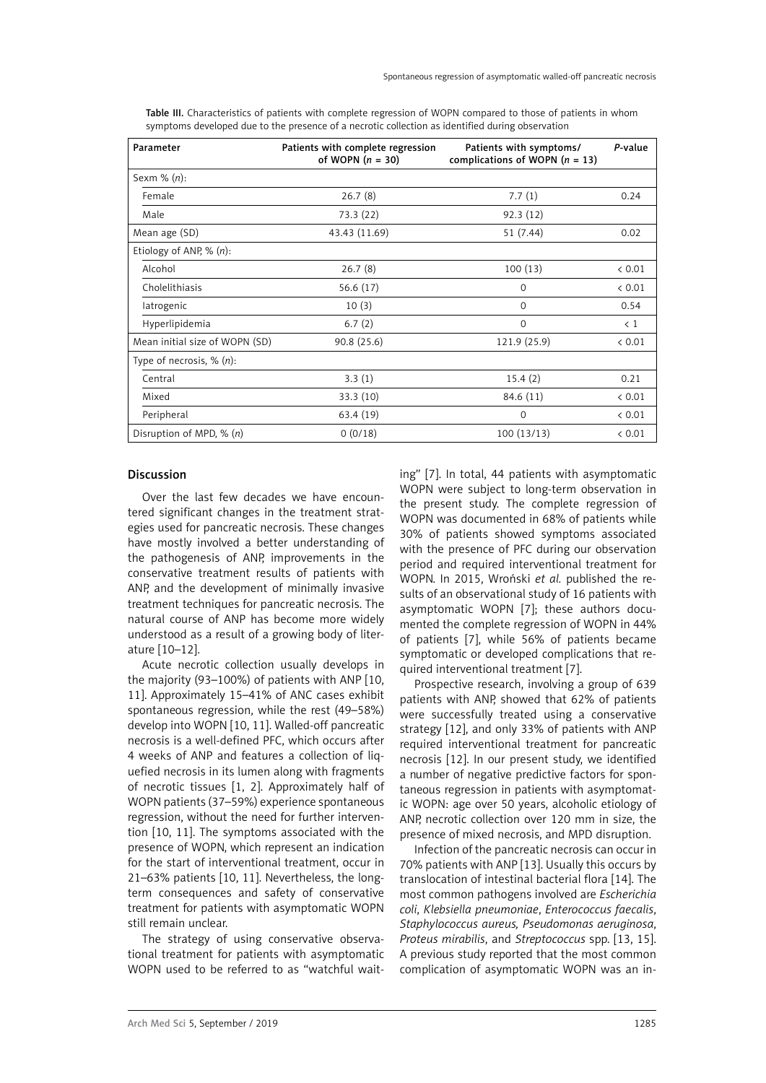| Parameter                      | Patients with complete regression<br>of WOPN $(n = 30)$ | Patients with symptoms/<br>complications of WOPN ( $n = 13$ ) | P-value     |
|--------------------------------|---------------------------------------------------------|---------------------------------------------------------------|-------------|
| Sexm $% (n)$ :                 |                                                         |                                                               |             |
| Female                         | 26.7(8)                                                 | 7.7(1)                                                        | 0.24        |
| Male                           | 73.3 (22)                                               | 92.3(12)                                                      |             |
| Mean age (SD)                  | 43.43 (11.69)                                           | 51 (7.44)                                                     | 0.02        |
| Etiology of ANP, $% (n)$ :     |                                                         |                                                               |             |
| Alcohol                        | 26.7(8)                                                 | 100(13)                                                       | < 0.01      |
| Cholelithiasis                 | 56.6 (17)                                               | 0                                                             | < 0.01      |
| latrogenic                     | 10(3)                                                   | $\mathbf 0$                                                   | 0.54        |
| Hyperlipidemia                 | 6.7(2)                                                  | $\mathbf 0$                                                   | $\langle 1$ |
| Mean initial size of WOPN (SD) | 90.8 (25.6)                                             | 121.9 (25.9)                                                  | < 0.01      |
| Type of necrosis, $\%$ $(n)$ : |                                                         |                                                               |             |
| Central                        | 3.3(1)                                                  | 15.4(2)                                                       | 0.21        |
| Mixed                          | 33.3(10)                                                | 84.6 (11)                                                     | < 0.01      |
| Peripheral                     | 63.4 (19)                                               | $\Omega$                                                      | < 0.01      |
| Disruption of MPD, $\%$ (n)    | 0(0/18)                                                 | 100(13/13)                                                    | < 0.01      |

Table III. Characteristics of patients with complete regression of WOPN compared to those of patients in whom symptoms developed due to the presence of a necrotic collection as identified during observation

## Discussion

Over the last few decades we have encountered significant changes in the treatment strategies used for pancreatic necrosis. These changes have mostly involved a better understanding of the pathogenesis of ANP, improvements in the conservative treatment results of patients with ANP, and the development of minimally invasive treatment techniques for pancreatic necrosis. The natural course of ANP has become more widely understood as a result of a growing body of literature [10–12].

Acute necrotic collection usually develops in the majority (93–100%) of patients with ANP [10, 11]. Approximately 15–41% of ANC cases exhibit spontaneous regression, while the rest (49–58%) develop into WOPN [10, 11]. Walled-off pancreatic necrosis is a well-defined PFC, which occurs after 4 weeks of ANP and features a collection of liquefied necrosis in its lumen along with fragments of necrotic tissues [1, 2]. Approximately half of WOPN patients (37–59%) experience spontaneous regression, without the need for further intervention [10, 11]. The symptoms associated with the presence of WOPN, which represent an indication for the start of interventional treatment, occur in 21–63% patients [10, 11]. Nevertheless, the longterm consequences and safety of conservative treatment for patients with asymptomatic WOPN still remain unclear.

The strategy of using conservative observational treatment for patients with asymptomatic WOPN used to be referred to as "watchful waiting" [7]. In total, 44 patients with asymptomatic WOPN were subject to long-term observation in the present study. The complete regression of WOPN was documented in 68% of patients while 30% of patients showed symptoms associated with the presence of PFC during our observation period and required interventional treatment for WOPN. In 2015, Wroński *et al.* published the results of an observational study of 16 patients with asymptomatic WOPN [7]; these authors documented the complete regression of WOPN in 44% of patients [7], while 56% of patients became symptomatic or developed complications that required interventional treatment [7].

Prospective research, involving a group of 639 patients with ANP, showed that 62% of patients were successfully treated using a conservative strategy [12], and only 33% of patients with ANP required interventional treatment for pancreatic necrosis [12]. In our present study, we identified a number of negative predictive factors for spontaneous regression in patients with asymptomatic WOPN: age over 50 years, alcoholic etiology of ANP, necrotic collection over 120 mm in size, the presence of mixed necrosis, and MPD disruption.

Infection of the pancreatic necrosis can occur in 70% patients with ANP [13]. Usually this occurs by translocation of intestinal bacterial flora [14]. The most common pathogens involved are *Escherichia coli*, *Klebsiella pneumoniae*, *Enterococcus faecalis*, *Staphylococcus aureus, Pseudomonas aeruginosa*, *Proteus mirabilis*, and *Streptococcus* spp. [13, 15]. A previous study reported that the most common complication of asymptomatic WOPN was an in-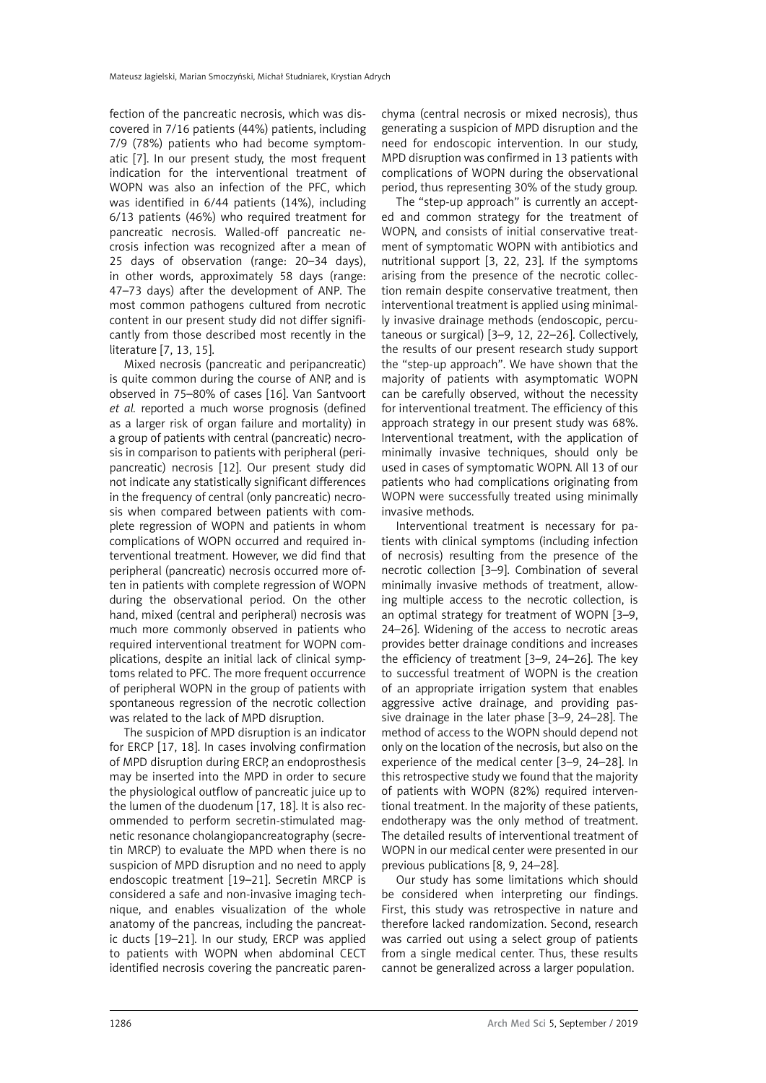fection of the pancreatic necrosis, which was discovered in 7/16 patients (44%) patients, including 7/9 (78%) patients who had become symptomatic [7]. In our present study, the most frequent indication for the interventional treatment of WOPN was also an infection of the PFC, which was identified in 6/44 patients (14%), including 6/13 patients (46%) who required treatment for pancreatic necrosis. Walled-off pancreatic necrosis infection was recognized after a mean of 25 days of observation (range: 20–34 days), in other words, approximately 58 days (range: 47–73 days) after the development of ANP. The most common pathogens cultured from necrotic content in our present study did not differ significantly from those described most recently in the literature [7, 13, 15].

Mixed necrosis (pancreatic and peripancreatic) is quite common during the course of ANP, and is observed in 75–80% of cases [16]. Van Santvoort *et al.* reported a much worse prognosis (defined as a larger risk of organ failure and mortality) in a group of patients with central (pancreatic) necrosis in comparison to patients with peripheral (peripancreatic) necrosis [12]. Our present study did not indicate any statistically significant differences in the frequency of central (only pancreatic) necrosis when compared between patients with complete regression of WOPN and patients in whom complications of WOPN occurred and required interventional treatment. However, we did find that peripheral (pancreatic) necrosis occurred more often in patients with complete regression of WOPN during the observational period. On the other hand, mixed (central and peripheral) necrosis was much more commonly observed in patients who required interventional treatment for WOPN complications, despite an initial lack of clinical symptoms related to PFC. The more frequent occurrence of peripheral WOPN in the group of patients with spontaneous regression of the necrotic collection was related to the lack of MPD disruption.

The suspicion of MPD disruption is an indicator for ERCP [17, 18]. In cases involving confirmation of MPD disruption during ERCP, an endoprosthesis may be inserted into the MPD in order to secure the physiological outflow of pancreatic juice up to the lumen of the duodenum [17, 18]. It is also recommended to perform secretin-stimulated magnetic resonance cholangiopancreatography (secretin MRCP) to evaluate the MPD when there is no suspicion of MPD disruption and no need to apply endoscopic treatment [19–21]. Secretin MRCP is considered a safe and non-invasive imaging technique, and enables visualization of the whole anatomy of the pancreas, including the pancreatic ducts [19–21]. In our study, ERCP was applied to patients with WOPN when abdominal CECT identified necrosis covering the pancreatic parenchyma (central necrosis or mixed necrosis), thus generating a suspicion of MPD disruption and the need for endoscopic intervention. In our study, MPD disruption was confirmed in 13 patients with complications of WOPN during the observational period, thus representing 30% of the study group.

The "step-up approach" is currently an accepted and common strategy for the treatment of WOPN, and consists of initial conservative treatment of symptomatic WOPN with antibiotics and nutritional support [3, 22, 23]. If the symptoms arising from the presence of the necrotic collection remain despite conservative treatment, then interventional treatment is applied using minimally invasive drainage methods (endoscopic, percutaneous or surgical) [3–9, 12, 22–26]. Collectively, the results of our present research study support the "step-up approach". We have shown that the majority of patients with asymptomatic WOPN can be carefully observed, without the necessity for interventional treatment. The efficiency of this approach strategy in our present study was 68%. Interventional treatment, with the application of minimally invasive techniques, should only be used in cases of symptomatic WOPN. All 13 of our patients who had complications originating from WOPN were successfully treated using minimally invasive methods.

Interventional treatment is necessary for patients with clinical symptoms (including infection of necrosis) resulting from the presence of the necrotic collection [3–9]. Combination of several minimally invasive methods of treatment, allowing multiple access to the necrotic collection, is an optimal strategy for treatment of WOPN [3–9, 24–26]. Widening of the access to necrotic areas provides better drainage conditions and increases the efficiency of treatment [3–9, 24–26]. The key to successful treatment of WOPN is the creation of an appropriate irrigation system that enables aggressive active drainage, and providing passive drainage in the later phase [3–9, 24–28]. The method of access to the WOPN should depend not only on the location of the necrosis, but also on the experience of the medical center [3–9, 24–28]. In this retrospective study we found that the majority of patients with WOPN (82%) required interventional treatment. In the majority of these patients, endotherapy was the only method of treatment. The detailed results of interventional treatment of WOPN in our medical center were presented in our previous publications [8, 9, 24–28].

Our study has some limitations which should be considered when interpreting our findings. First, this study was retrospective in nature and therefore lacked randomization. Second, research was carried out using a select group of patients from a single medical center. Thus, these results cannot be generalized across a larger population.